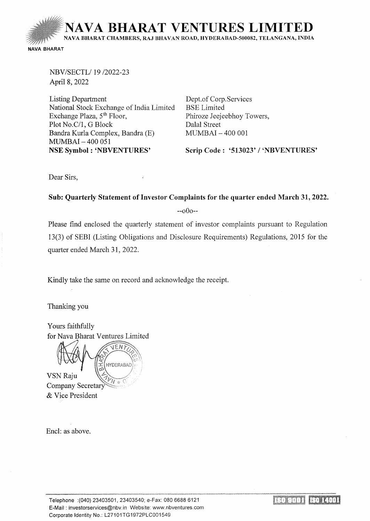

NBV/SECTL/ 19/2022-23 April8, 2022

Listing Department National Stock Exchange of India Limited Exchange Plaza, 5<sup>th</sup> Floor, Plot No.C/1, G Block Bandra Kurla Complex, Bandra (E) MUMBAI-400 051 NSE Symbol : 'NBVENTURES'

Dept.of Corp. Services **BSE** Limited Phiroze Jeejeebhoy Towers, Dalal Street MUMBAI - 400 001

Scrip Code : '513023' / 'NBVENTURES'

Dear Sirs,

## Sub: Quarterly Statement of Investor Complaints for the quarter ended March 31, 2022.

 $-000-$ 

Please find enclosed the quarterly statement of investor complaints pursuant to Regulation 13(3) of SEBI (Listing Obligations and Disclosure Requirements) Regulations, 2015 for the quarter ended March 31, 2022.

Kindly take the same on record and acknowledge the receipt.

Thanking you

Yours faithfully for Nava Bharat Ventures Limited

**HYDERABAD** VSN Raju Company Secretar & Vice President

Encl: as above.